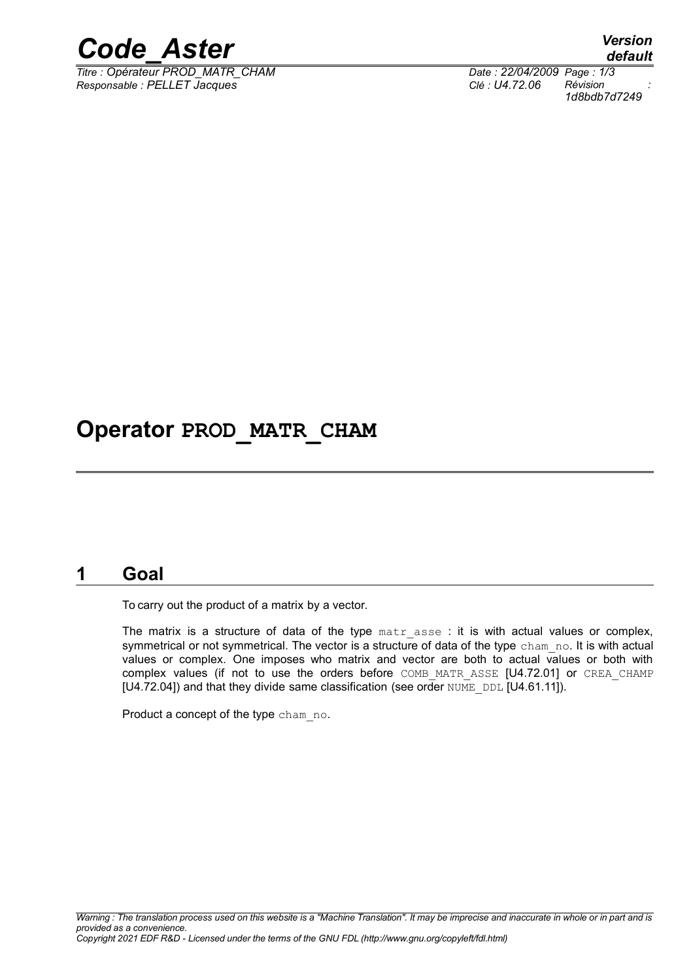

*Titre : Opérateur PROD\_MATR\_CHAM Date : 22/04/2009 Page : 1/3 Responsable : PELLET Jacques Clé : U4.72.06 Révision :*

*default 1d8bdb7d7249*

## **Operator PROD\_MATR\_CHAM**

### **1 Goal**

To carry out the product of a matrix by a vector.

The matrix is a structure of data of the type matr asse : it is with actual values or complex, symmetrical or not symmetrical. The vector is a structure of data of the type cham no. It is with actual values or complex. One imposes who matrix and vector are both to actual values or both with complex values (if not to use the orders before COMB MATR ASSE [U4.72.01] or CREA CHAMP  $[U4.72.04]$ ) and that they divide same classification (see order NUME\_DDL  $[U4.61.11]$ ).

Product a concept of the type cham no.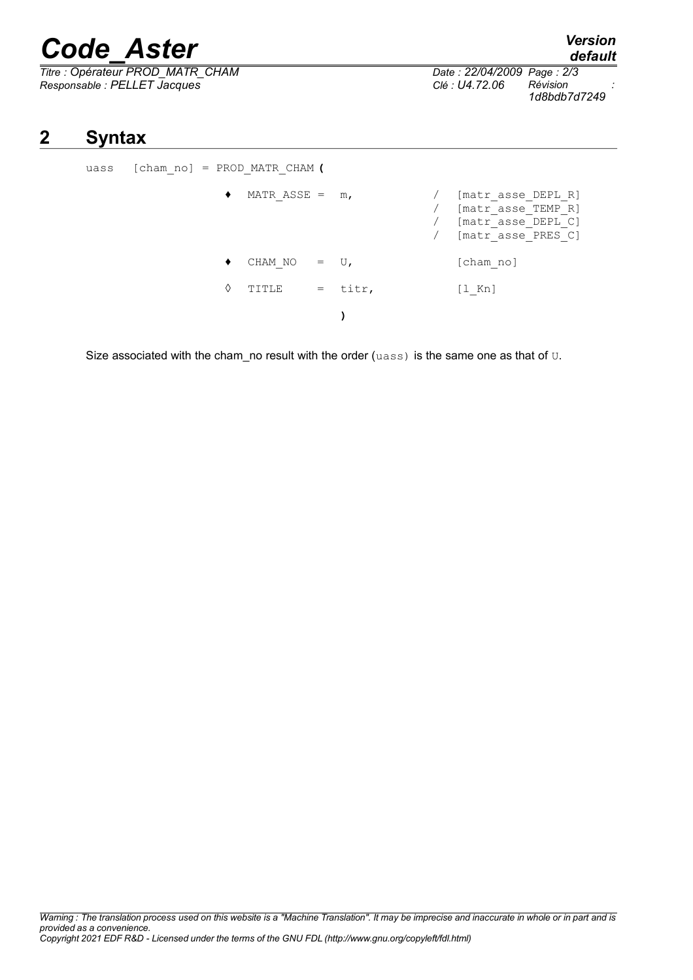# *Code\_Aster Version*

*Titre : Opérateur PROD\_MATR\_CHAM Date : 22/04/2009 Page : 2/3 Responsable : PELLET Jacques Clé : U4.72.06 Révision :*

*1d8bdb7d7249*

## **2 Syntax**

uass [cham\_no] = PROD\_MATR\_CHAM **(** ♦ MATR\_ASSE = m, / [matr\_asse\_DEPL\_R] / [matr\_asse\_TEMP\_R] / [matr\_asse\_DEPL\_C] / [matr\_asse\_PRES\_C]  $\bullet$  CHAM\_NO = U, [cham\_no]  $\Diamond$  TITLE = titr, [l Kn] **)**

Size associated with the cham no result with the order ( $u$ ass) is the same one as that of  $U$ .